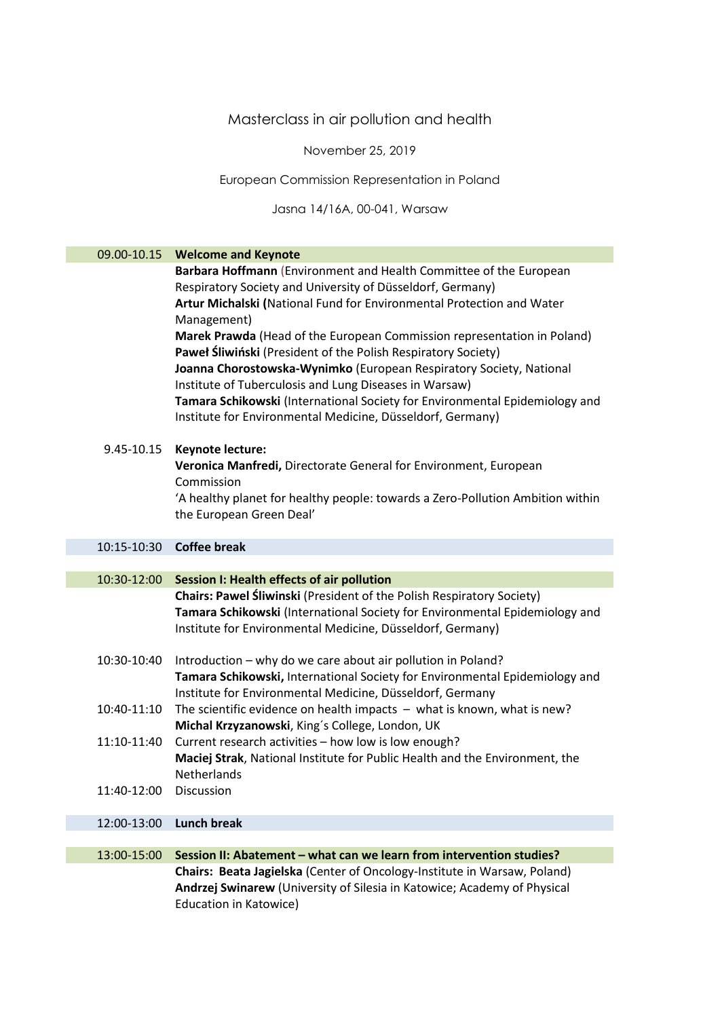## Masterclass in air pollution and health

November 25, 2019

European Commission Representation in Poland

Jasna 14/16A, 00-041, Warsaw

| 09.00-10.15 | <b>Welcome and Keynote</b>                                                                                                                                                                                                                                                                                                                                                                                                                                                                                                                                                                                                                         |
|-------------|----------------------------------------------------------------------------------------------------------------------------------------------------------------------------------------------------------------------------------------------------------------------------------------------------------------------------------------------------------------------------------------------------------------------------------------------------------------------------------------------------------------------------------------------------------------------------------------------------------------------------------------------------|
|             | Barbara Hoffmann (Environment and Health Committee of the European<br>Respiratory Society and University of Düsseldorf, Germany)<br>Artur Michalski (National Fund for Environmental Protection and Water<br>Management)<br>Marek Prawda (Head of the European Commission representation in Poland)<br>Paweł Śliwiński (President of the Polish Respiratory Society)<br>Joanna Chorostowska-Wynimko (European Respiratory Society, National<br>Institute of Tuberculosis and Lung Diseases in Warsaw)<br>Tamara Schikowski (International Society for Environmental Epidemiology and<br>Institute for Environmental Medicine, Düsseldorf, Germany) |
| 9.45-10.15  | Keynote lecture:<br>Veronica Manfredi, Directorate General for Environment, European<br>Commission<br>'A healthy planet for healthy people: towards a Zero-Pollution Ambition within<br>the European Green Deal'                                                                                                                                                                                                                                                                                                                                                                                                                                   |
| 10:15-10:30 | <b>Coffee break</b>                                                                                                                                                                                                                                                                                                                                                                                                                                                                                                                                                                                                                                |
|             |                                                                                                                                                                                                                                                                                                                                                                                                                                                                                                                                                                                                                                                    |
| 10:30-12:00 | Session I: Health effects of air pollution                                                                                                                                                                                                                                                                                                                                                                                                                                                                                                                                                                                                         |
|             | Chairs: Pawel Śliwinski (President of the Polish Respiratory Society)<br>Tamara Schikowski (International Society for Environmental Epidemiology and<br>Institute for Environmental Medicine, Düsseldorf, Germany)                                                                                                                                                                                                                                                                                                                                                                                                                                 |
| 10:30-10:40 | Introduction - why do we care about air pollution in Poland?<br>Tamara Schikowski, International Society for Environmental Epidemiology and<br>Institute for Environmental Medicine, Düsseldorf, Germany                                                                                                                                                                                                                                                                                                                                                                                                                                           |
| 10:40-11:10 | The scientific evidence on health impacts $-$ what is known, what is new?<br>Michal Krzyzanowski, King's College, London, UK                                                                                                                                                                                                                                                                                                                                                                                                                                                                                                                       |
| 11:10-11:40 | Current research activities - how low is low enough?<br>Maciej Strak, National Institute for Public Health and the Environment, the<br>Netherlands                                                                                                                                                                                                                                                                                                                                                                                                                                                                                                 |
| 11:40-12:00 | Discussion                                                                                                                                                                                                                                                                                                                                                                                                                                                                                                                                                                                                                                         |
| 12:00-13:00 | <b>Lunch break</b>                                                                                                                                                                                                                                                                                                                                                                                                                                                                                                                                                                                                                                 |
|             |                                                                                                                                                                                                                                                                                                                                                                                                                                                                                                                                                                                                                                                    |
| 13:00-15:00 | Session II: Abatement - what can we learn from intervention studies?                                                                                                                                                                                                                                                                                                                                                                                                                                                                                                                                                                               |
|             | Chairs: Beata Jagielska (Center of Oncology-Institute in Warsaw, Poland)<br>Andrzej Swinarew (University of Silesia in Katowice; Academy of Physical<br>Education in Katowice)                                                                                                                                                                                                                                                                                                                                                                                                                                                                     |